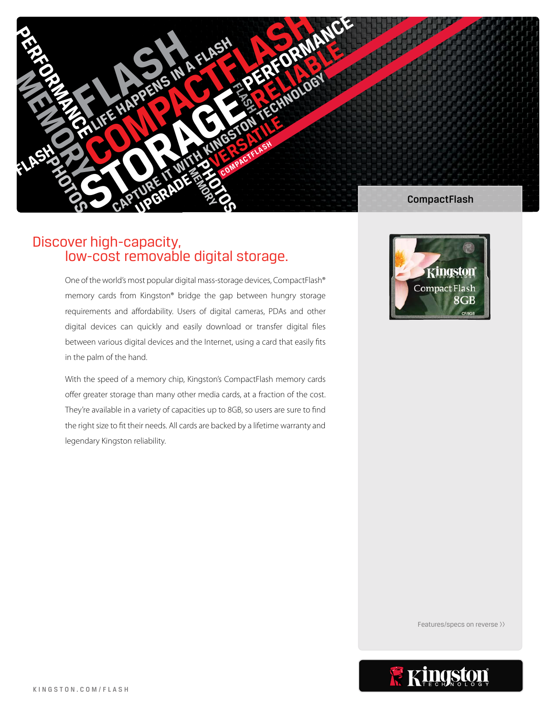

# Discover high-capacity, low-cost removable digital storage.

One of the world's most popular digital mass-storage devices, CompactFlash® memory cards from Kingston® bridge the gap between hungry storage requirements and affordability. Users of digital cameras, PDAs and other digital devices can quickly and easily download or transfer digital files between various digital devices and the Internet, using a card that easily fits in the palm of the hand.

With the speed of a memory chip, Kingston's CompactFlash memory cards offer greater storage than many other media cards, at a fraction of the cost. They're available in a variety of capacities up to 8GB, so users are sure to find the right size to fit their needs. All cards are backed by a lifetime warranty and legendary Kingston reliability.



Features/specs on reverse >>